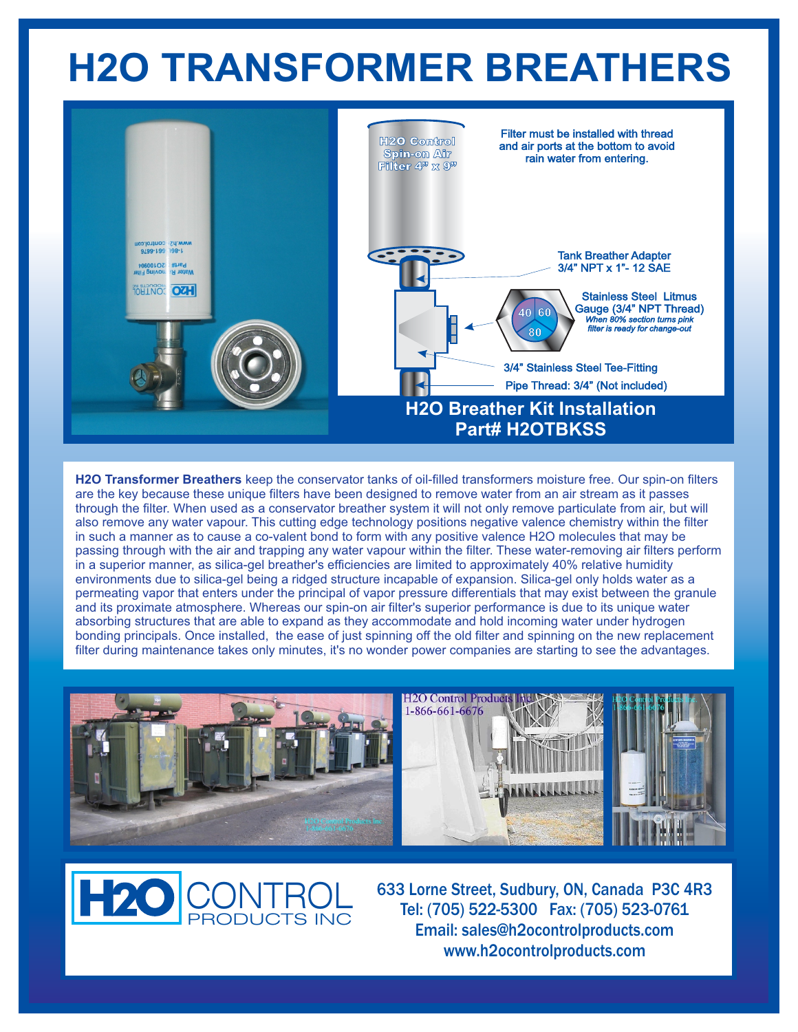## **H2O TRANSFORMER BREATHERS**



**H2O Transformer Breathers** keep the conservator tanks of oil-filled transformers moisture free. Our spin-on filters are the key because these unique filters have been designed to remove water from an air stream as it passes through the filter. When used as a conservator breather system it will not only remove particulate from air, but will also remove any water vapour. This cutting edge technology positions negative valence chemistry within the filter in such a manner as to cause a co-valent bond to form with any positive valence H2O molecules that may be passing through with the air and trapping any water vapour within the filter. These water-removing air filters perform in a superior manner, as silica-gel breather's efficiencies are limited to approximately 40% relative humidity environments due to silica-gel being a ridged structure incapable of expansion. Silica-gel only holds water as a permeating vapor that enters under the principal of vapor pressure differentials that may exist between the granule and its proximate atmosphere. Whereas our spin-on air filter's superior performance is due to its unique water absorbing structures that are able to expand as they accommodate and hold incoming water under hydrogen bonding principals. Once installed, the ease of just spinning off the old filter and spinning on the new replacement filter during maintenance takes only minutes, it's no wonder power companies are starting to see the advantages.



**H2C** CONTROL PRODUCTS INC

633 Lorne Street, Sudbury, ON, Canada P3C 4R3 Tel: (705) 522-5300 Fax: (705) 523-0761 Email: sales@h2ocontrolproducts.com www.h2ocontrolproducts.com